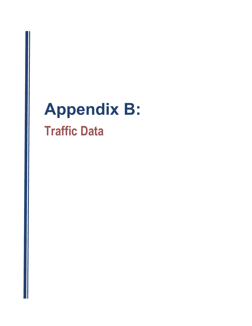# Appendix B: Traffic Data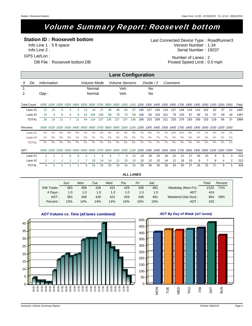# Volume Summary Report: Roosevelt bottom

### **Station ID : Roosevelt bottom**

Info Line 1 : 5 ft space Info Line 2 : GPS Lat/Lon :

DB File : Roosevelt bottom.DB

Serial Number: 19237 Version Number: 1.34 Last Connected Device Type : RoadRunner3

> Number of Lanes : 2 Posted Speed Limit: 0.0 mph

|                      |              |             |                |      |      |      |             |                                                                                                                         |                                    |     |     | <b>Lane Configuration</b> |     |     |                  |           |      |           |     |     |     |     |     |                               |    |       |
|----------------------|--------------|-------------|----------------|------|------|------|-------------|-------------------------------------------------------------------------------------------------------------------------|------------------------------------|-----|-----|---------------------------|-----|-----|------------------|-----------|------|-----------|-----|-----|-----|-----|-----|-------------------------------|----|-------|
| #                    | Dir.         | Information |                |      |      |      |             | Volume Mode                                                                                                             |                                    |     |     | <b>Volume Sensors</b>     |     |     | Divide $/2$      |           |      | Comment   |     |     |     |     |     |                               |    |       |
| $\mathbf{1}$ .<br>2. |              | Opp -       |                |      |      |      |             | Normal<br>Normal                                                                                                        |                                    |     |     | Veh.<br>Veh.              |     |     | No.<br><b>No</b> |           |      |           |     |     |     |     |     |                               |    |       |
| Total Count:         |              |             | 0000 0100      | 0200 | 0300 | 0400 | <i>0500</i> |                                                                                                                         | 0600 0700 0800 0900 1000 1100 1200 |     |     |                           |     |     |                  | 1300 1400 | 1500 | 1600 1700 |     |     |     |     |     | 1800 1900 2000 2100 2200 2300 |    | Total |
| Lane #1              |              | 12          | 10             |      | 3    | 2    | 12          | 10                                                                                                                      | 27                                 | 39  | 49  | 64                        | 67  | 100 | 127              | 106       | 110  | 157       | 149 | 116 | 110 | 102 | 62  | 37                            | 21 | 1497  |
| Lane #2              |              | 14          | 4              | 6    | 4    | 9    | 52          | 104                                                                                                                     | 100                                | 96  | 78  | 73                        | 69  | 106 | 83               | 103       | 101  | 76        | 130 | 67  | 59  | 51  | 57  | 29                            | 16 | 1487  |
|                      | <b>TOTAL</b> | 26          | 14             | 11   |      | 11   | 64          | 114                                                                                                                     | 127                                | 135 | 127 | 137                       | 136 | 206 | 210              | 209       | 211  | 233       | 279 | 183 | 169 | 153 | 119 | 66                            | 37 | 2984  |
| Percents:            |              |             |                |      |      |      |             | 0000 0100 0200 0300 0400 0500 0600 0700 0800 0900 1000 1100 1200 1300 1400 1500 1600 1700 1800 1900 2000 2100 2200 2300 |                                    |     |     |                           |     |     |                  |           |      |           |     |     |     |     |     |                               |    |       |
| Lane $#1$            |              | 1%          | 1%             | 0%   | 0%   | 0%   | 1%          | 1%                                                                                                                      | 2%                                 | 3%  | 3%  | 4%                        | 4%  | 7%  | 8%               | 7%        | 7%   | 10%       | 10% | 8%  | 7%  | 7%  | 4%  | 2%                            | 1% |       |
| Lane #2              |              | 1%          | 0%             | 0%   | 0%   | 1%   | 3%          | 7%                                                                                                                      | 7%                                 | 6%  | 5%  | 5%                        | 5%  | 7%  | 6%               | 7%        | 7%   | 5%        | 9%  | 5%  | 4%  | 3%  | 4%  | 2%                            | 1% |       |
|                      | <b>TOTAL</b> | $1\%$       | 0%             | 0%   | 0%   | 0%   | 2%          | 4%                                                                                                                      | 4%                                 | 5%  | 4%  | 5%                        | 5%  | 7%  | 7%               | 7%        | 7%   | 8%        | 9%  | 6%  | 6%  | 5%  | 4%  | 2%                            | 1% |       |
| ADT:                 |              |             |                |      |      |      |             | 0000 0100 0200 0300 0400 0500 0600 0700 0800 0900 1000 1100 1200 1300 1400 1500 1600 1700 1800 1900 2000 2100 2200 2300 |                                    |     |     |                           |     |     |                  |           |      |           |     |     |     |     |     |                               |    | Total |
| Lane $#1$            |              | 2           |                |      |      |      |             |                                                                                                                         |                                    |     |     | ٩                         | 10  | 14  | 18               | 15        | 16   | 22        | 21  | 17  | 16  | 15  | 9   | 5                             | 3  | 214   |
| Lane #2              |              | 2           |                |      |      |      |             | 15                                                                                                                      | 14                                 | 14  | 11  | 10                        | 10  | 15  | 12               | 15        | 14   | 11        | 19  | 10  | 8   |     | 8   | 4                             | 2  | 212   |
|                      | <b>TOTAL</b> | 4           | $\mathfrak{p}$ | 2    |      |      | 9           | 16                                                                                                                      | 18                                 | 20  | 18  | 19                        | 20  | 29  | 30               | 30        | 30   | 33        | 40  | 27  | 24  | 22  | 17  | 9                             | 5  | 426   |

|            | Sun | Mon | Tue | Wed | Thu | Fri | Sat |                    | Total | Percent |
|------------|-----|-----|-----|-----|-----|-----|-----|--------------------|-------|---------|
| DW Totals: | 383 | 406 | 426 | 421 | 429 | 438 | 481 | Weekday (Mon-Fri): | 2120  | 71%     |
| # Davs:    | 1.0 | 1.0 | 1.0 | 1.0 | 1.0 | 1.0 | 1.0 | $ADT$ :            | 424   |         |
| $ADT$ :    | 383 | 406 | 426 | 421 | 429 | 438 | 481 | Weekend (Sat-Sun): | 864   | 29%     |
| Percent:   | 13% | 14% | 14% | 14% | 14% | 15% | 16% | ADT:               | 432   |         |

*ALL LANES*



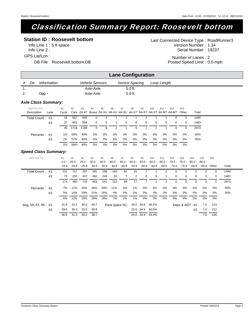# Classification Summary Report: Roosevelt bottom

### **Station ID : Roosevelt bottom**

Info Line 1 : 5 ft space Info Line 2 : GPS Lat/Lon :

DB File : Roosevelt bottom.DB

Serial Number: 19237 Version Number: 1.34 Last Connected Device Type : RoadRunner3

> Number of Lanes : 2 Posted Speed Limit: 0.0 mph

|    |      |                            |                        | <b>Lane Configuration</b> |             |  |
|----|------|----------------------------|------------------------|---------------------------|-------------|--|
| #  | Dir. | Information                | <b>Vehicle Sensors</b> | Sensor Spacing            | Loop Length |  |
| 1. |      |                            | Axle-Axle              | $5.0$ ft                  |             |  |
| 2. |      | Opp -                      | Axle-Axle              | $5.0$ ft                  |             |  |
|    |      | <b>Axle Class Summary:</b> |                        |                           |             |  |

| (DEFAULTC)       |      | #1 | #2   | #3   | #4       | #5 | #6             | #7       | #8    | #9       | #10      | #11      | #12                                                                          | #13      |       |  |
|------------------|------|----|------|------|----------|----|----------------|----------|-------|----------|----------|----------|------------------------------------------------------------------------------|----------|-------|--|
| Description      | Lane |    |      |      |          |    |                |          |       |          |          |          | Cycle Cars 2A-4T Buses 2A-SU 3A-SU 4A-SU 4A-ST 5A-ST 6A-ST 5A-MT 6A-MT Other |          | Total |  |
| Total Count: #1. |      | 18 | 867  | 595  | 0        | 3  |                |          |       | 2        |          |          |                                                                              | $\Omega$ | 1490  |  |
|                  | #2.  | 27 | 851  | 594  | $\Omega$ | 5  | $\overline{1}$ | $\Omega$ | $5 -$ | $\Omega$ | $\Omega$ | $\Omega$ | $\Omega$                                                                     | $\Omega$ | 1483  |  |
|                  |      | 45 | 1718 | 1189 | $\Omega$ | 8  | 2              |          | 6     | 2        |          |          | 0                                                                            | $\Omega$ | 2973  |  |
| Percents: #1.    |      | 1% | 58%  | 40%  | 0%       | 0% | 0%             | 0%       | 0%    | 0%       | 0%       | 0%       | 0%                                                                           | 0%       | 50%   |  |
|                  | #2.  | 2% | 57%  | 40%  | $0\%$    | 0% | 0%             | 0%       | 0%    | 0%       | 0%       | 0%       | $0\%$                                                                        | 0%       | 50%   |  |
|                  |      | 2% | 58%  | 40%  | 0%       | 0% | 0%             | $0\%$    | 0%    | $0\%$    | 0%       | 0%       | 0%                                                                           | 0%       |       |  |

| (DEFAULTX)            |     | #1<br>$0.0 -$ | #2   | #3<br>$20.0 - 25.0 - 30.0 -$ | #4   | #5   | #6   | #7                               | #8            | #9          | #10         | #11<br>$35.0 - 40.0 - 45.0 - 50.0 - 55.0 - 60.0 - 65.0 - 70.0 - 75.0 - 80.0 - 85.0 -$ | #12  | #13      | #14                 | #15      | #16      |       |
|-----------------------|-----|---------------|------|------------------------------|------|------|------|----------------------------------|---------------|-------------|-------------|---------------------------------------------------------------------------------------|------|----------|---------------------|----------|----------|-------|
|                       |     | 19.9          | 24.9 | 29.9                         | 34.9 | 39.9 | 44.9 | 49.9                             | 54.9          | 59.9        | 64.9        | 69.9                                                                                  | 74.9 | 79.9     | 84.9                | 89.9     | Other    | Total |
| Total Count: #1.      |     | 101           | 157  | 297                          | 391  | 298  | 160  | 62                               | 15            |             |             |                                                                                       | 0    | $\Omega$ | $\Omega$            | $\Omega$ | $\Omega$ | 1490  |
|                       | #2. | 73            | 203  | 437                          | 462  | 243  | 55   | $\overline{7}$                   | 2             | 0           | $\mathbf 0$ |                                                                                       | 0    | 0        | $\overline{0}$      | 0        | 0        | 1483  |
|                       |     | 174           | 360  | 734                          | 853  | 541  | 215  | 69                               | 17            |             |             | 2                                                                                     | 0    | $\Omega$ | $\Omega$            | $\Omega$ | $\Omega$ | 2973  |
| Percents: #1.         |     | 7%            | 11%  | 20%                          | 26%  | 20%  | 11%  | 4%                               | $1\%$         | 0%          | 0%          | 0%                                                                                    | 0%   | 0%       | 0%                  | 0%       | 0%       | 50%   |
|                       | #2. | 5%            | 14%  | 29%                          | 31%  | 16%  | 4%   | 0%                               | 0%            | 0%          | 0%          | 0%                                                                                    | 0%   | 0%       | 0%                  | 0%       | 0%       | 50%   |
|                       |     | 6%            | 12%  | 25%                          | 29%  | 18%  | 7%   | 2%                               | $1\%$         | 0%          | 0%          | 0%                                                                                    | 0%   | 0%       | 0%                  | 0%       | 0%       |       |
| Avg, 50, 67, 85 : #1. |     | 31.9          | 32.4 | 36.0                         | 40.7 |      |      | Pace (pace %): 30.0 - 39.9 46.2% |               |             |             |                                                                                       |      |          | Days & $ADT : #1$ . | 7.0      | 213      |       |
|                       | #2. | 29.8          | 30.3 | 33.0                         | 36.8 |      |      |                                  | $25.0 - 34.9$ |             | 60.6%       |                                                                                       |      |          | #2.                 | 7.0      | 212      |       |
|                       |     | 30.9          | 31.3 | 34.2                         | 38.7 |      |      |                                  |               | 25.0 - 34.9 | 53.4%       |                                                                                       |      |          |                     | 7.0      | 425      |       |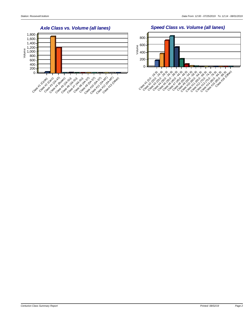*Speed Class vs. Volume (all lanes)*



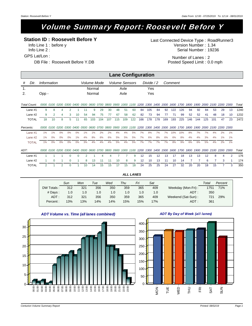# Volume Summary Report: Roosevelt Before Y

### **Station ID : Roosevelt Before Y**

Info Line 1 : before y Info Line 2 : GPS Lat/Lon :

DB File : Roosevelt Before Y.DB

Serial Number: 19236 Version Number: 1.34 Last Connected Device Type : RoadRunner3

> Number of Lanes : 2 Posted Speed Limit: 0.0 mph

|              |              |             |                |                |          |                  |    |                                                                                                                         |     |     |     | <b>Lane Configuration</b> |     |     |            |     |     |                |     |     |     |     |                               |    |    |       |
|--------------|--------------|-------------|----------------|----------------|----------|------------------|----|-------------------------------------------------------------------------------------------------------------------------|-----|-----|-----|---------------------------|-----|-----|------------|-----|-----|----------------|-----|-----|-----|-----|-------------------------------|----|----|-------|
| #            | Dir.         | Information |                |                |          |                  |    | Volume Mode                                                                                                             |     |     |     | <b>Volume Sensors</b>     |     |     | Divide / 2 |     |     | Comment        |     |     |     |     |                               |    |    |       |
| 1.<br>2.     |              | Opp -       |                |                |          |                  |    | Normal<br>Normal                                                                                                        |     |     |     | Axle<br>Axle              |     |     | Yes<br>Yes |     |     |                |     |     |     |     |                               |    |    |       |
| Total Count: |              |             | 0000 0100 0200 |                |          | <i>0300 0400</i> |    | 0500 0600 0700 0800 0900 1000 1100 1200 1300 1400                                                                       |     |     |     |                           |     |     |            |     |     | 1500 1600 1700 |     |     |     |     | 1800 1900 2000 2100 2200 2300 |    |    | Total |
| Lane #1      |              | 9           | 8              |                | 2        |                  | 11 | 9                                                                                                                       | 29  | 30  | 48  | 51                        | 60  | 84  | 105        | 84  | 92  | 122            | 126 | 94  | 92  | 84  | 53                            | 29 | 13 | 1240  |
|              | Lane #2      | 9           | 2              |                | 3        | 10               | 54 | 94                                                                                                                      | 75  | 77  | 67  | 58                        | 62  | 82  | 73         | 94  | 77  | 71             | 99  | 52  | 52  | 41  | 48                            | 18 | 10 | 1232  |
|              | <b>TOTAL</b> | 18          | 10             | 8              | 5        | 11               | 65 | 103                                                                                                                     | 104 | 107 | 115 | 109                       | 122 | 166 | 178        | 178 | 169 | 193            | 225 | 146 | 144 | 125 | 101                           | 47 | 23 | 2472  |
| Percents:    |              |             |                |                |          |                  |    | 0000 0100 0200 0300 0400 0500 0600 0700 0800 0900 1000 1100 1200 1300 1400 1500 1600 1700 1800 1900 2000 2100 2200 2300 |     |     |     |                           |     |     |            |     |     |                |     |     |     |     |                               |    |    |       |
| Lane #1      |              | 1%          | 1%             | 0%             | 0%       | 0%               | 1% | $1\%$                                                                                                                   | 2%  | 2%  | 4%  | 4%                        | 5%  | 7%  | 8%         | 7%  | 7%  | 10%            | 10% | 8%  | 7%  | 7%  | 4%                            | 2% | 1% |       |
|              | Lane #2      | 1%          | 0%             | 0%             | 0%       | 1%               | 4% | 8%                                                                                                                      | 6%  | 6%  | 5%  | 5%                        | 5%  | 7%  | 6%         | 8%  | 6%  | 6%             | 8%  | 4%  | 4%  | 3%  | 4%                            | 1% | 1% |       |
|              | <b>TOTAL</b> | $1\%$       | 0%             | 0%             | 0%       | 0%               | 3% | 4%                                                                                                                      | 4%  | 4%  | 5%  | 4%                        | 5%  | 7%  | 7%         | 7%  | 7%  | 8%             | 9%  | 6%  | 6%  | 5%  | 4%                            | 2% | 1% |       |
| ADT:         |              |             |                |                |          |                  |    | 0000 0100 0200 0300 0400 0500 0600 0700 0800 0900 1000 1100 1200 1300 1400 1500 1600 1700 1800 1900 2000 2100 2200 2300 |     |     |     |                           |     |     |            |     |     |                |     |     |     |     |                               |    |    | Total |
| Lane #1      |              |             |                |                |          |                  |    |                                                                                                                         |     |     |     |                           | 9   | 12  | 15         | 12  | 13  | 17             | 18  | 13  | 13  | 12  | 8                             |    | 2  | 176   |
|              | Lane #2      |             | ∩              |                | $\Omega$ |                  | 8  | 13                                                                                                                      | 11  | 11  | 10  | 8                         | 9   | 12  | 10         | 13  | 11  | 10             | 14  |     | 7   | 6   |                               | 3  |    | 174   |
|              | <b>TOTAL</b> | 2           |                | $\overline{2}$ | 0        |                  | 10 | 14                                                                                                                      | 15  | 15  | 17  | 15                        | 18  | 24  | 25         | 25  | 24  | 27             | 32  | 20  | 20  | 18  | 15                            |    | 3  | 350   |

|            | Sun | Mon | Tue | Wed | Thu | Fri | Sat |                    | Total | Percent |
|------------|-----|-----|-----|-----|-----|-----|-----|--------------------|-------|---------|
| DW Totals: | 312 | 321 | 356 | 350 | 359 | 365 | 409 | Weekday (Mon-Fri): | 1751  | 71%     |
| $#$ Days : | 1.0 | 1.0 | 1.0 | 1.0 | 1.0 | 1.0 | 1.0 | $ADT$ :            | 350   |         |
| $ADT$ :    | 312 | 321 | 356 | 350 | 359 | 365 | 409 | Weekend (Sat-Sun): | 721   | 29%     |
| Percent:   | 13% | 13% | 14% | 14% | 15% | 15% | 17% | $ADT$ :            | 361   |         |

*ALL LANES*



#### *ADT Volume vs. Time (all lanes combined)*

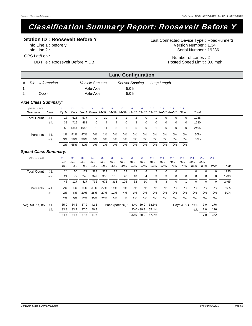# Classification Summary Report: Roosevelt Before Y

### **Station ID : Roosevelt Before Y**

Info Line 1 : before y Info Line 2 : GPS Lat/Lon :

Serial Number: 19236 Version Number: 1.34 Last Connected Device Type : RoadRunner3

DB File : Roosevelt Before Y.DB

Number of Lanes : 2 Posted Speed Limit: 0.0 mph

|    |      |             |                        | <b>Lane Configuration</b> |             |  |
|----|------|-------------|------------------------|---------------------------|-------------|--|
| #  | Dir. | Information | <b>Vehicle Sensors</b> | Sensor Spacing            | Loop Length |  |
|    |      |             | Axle-Axle              | $5.0$ ft                  |             |  |
| 2. |      | Opp -       | Axle-Axle              | $5.0$ ft                  |             |  |
|    |      |             |                        |                           |             |  |

#### *Axle Class Summary:*

| (DEFAULTC)       |      | #1 | #2   | #3   | #4       | #5    | #6    | #7       | #8 | #9       | #10 | #11      | #12                                                                          | #13      |       |  |  |
|------------------|------|----|------|------|----------|-------|-------|----------|----|----------|-----|----------|------------------------------------------------------------------------------|----------|-------|--|--|
| Description      | Lane |    |      |      |          |       |       |          |    |          |     |          | Cycle Cars 2A-4T Buses 2A-SU 3A-SU 4A-SU 4A-ST 5A-ST 6A-ST 5A-MT 6A-MT Other |          | Total |  |  |
| Total Count: #1. |      | 18 | 625  | 577  | 0        | 10    |       |          | 2  | $\Omega$ |     | 0        | 0                                                                            | 0        | 1235  |  |  |
|                  | #2.  | 32 | 719  | 468  | $\Omega$ | 4     | 4     | $\Omega$ | 3  | $\Omega$ | 0   | $\Omega$ | $\Omega$                                                                     | $\Omega$ | 1230  |  |  |
|                  |      | 50 | 1344 | 1045 | $\Omega$ | 14    | 5     |          | 5  | $\Omega$ |     | 0        |                                                                              | 0        | 2465  |  |  |
| Percents: #1.    |      | 1% | 51%  | 47%  | 0%       | 1%    | 0%    | 0%       | 0% | 0%       | 0%  | 0%       | 0%                                                                           | $0\%$    | 50%   |  |  |
|                  | #2.  | 3% | 58%  | 38%  | 0%       | 0%    | 0%    | 0%       | 0% | 0%       | 0%  | 0%       | 0%                                                                           | 0%       | 50%   |  |  |
|                  |      | 2% | 55%  | 42%  | 0%       | $1\%$ | $0\%$ | 0%       | 0% | 0%       | 0%  | 0%       | 0%                                                                           | 0%       |       |  |  |

| (DEFAULTX)            | #1<br>$0.0 -$ | #2<br>$20.0 -$ | #3<br>25.0 - | #4<br>$30.0 -$ | #5   | #6<br>$35.0 - 40.0 -$ | #7<br>45.0 -               | #8   | #9            | #10   | #11<br>$50.0 - 55.0 - 60.0 - 65.0 - 70.0 -$ | #12      | #13<br>75.0 - | #14<br>$80.0 - 85.0 -$ | #15      | #16      |       |
|-----------------------|---------------|----------------|--------------|----------------|------|-----------------------|----------------------------|------|---------------|-------|---------------------------------------------|----------|---------------|------------------------|----------|----------|-------|
|                       | 19.9          | 24.9           | 29.9         | 34.9           | 39.9 | 44.9                  | 49.9                       | 54.9 | 59.9          | 64.9  | 69.9                                        | 74.9     | 79.9          | 84.9                   | 89.9     | Other    | Total |
| Total Count:<br>#1.   | 24            | 50             | 172          | 383            | 339  | 177                   | 59                         | 22   | 6             | 2     | $\Omega$                                    | $\Omega$ |               |                        | $\Omega$ | $\Omega$ | 1235  |
| #2.                   | 24            | 77             | 245          | 349            | 333  | 136                   | 46                         | 10   | 4             | 3     | 3                                           | 0        | 0             | $\Omega$               | 0        | 0        | 1230  |
|                       | 48            | 127            | 417          | 732            | 672  | 313                   | 105                        | 32   | 10            | 5.    | 3                                           | 0        |               |                        | $\Omega$ | $\Omega$ | 2465  |
| Percents:<br>#1.      | 2%            | 4%             | 14%          | 31%            | 27%  | 14%                   | 5%                         | 2%   | 0%            | 0%    | 0%                                          | 0%       | 0%            | 0%                     | 0%       | 0%       | 50%   |
| #2.                   | $2\%$         | 6%             | 20%          | 28%            | 27%  | 11%                   | 4%                         | 1%   | 0%            | 0%    | 0%                                          | 0%       | 0%            | 0%                     | 0%       | 0%       | 50%   |
|                       | 2%            | 5%             | 17%          | 30%            | 27%  | 13%                   | 4%                         | 1%   | 0%            | 0%    | 0%                                          | 0%       | 0%            | 0%                     | 0%       | 0%       |       |
| Avg, 50, 67, 85 : #1. | 35.0          | 34.8           | 37.9         | 42.3           |      |                       | Pace (pace %): 30.0 - 39.9 |      |               | 58.5% |                                             |          |               | Days & $ADT : #1$ .    | 7.0      | 176      |       |
| #2.                   | 33.8          | 33.7           | 37.0         | 40.9           |      |                       |                            |      | $30.0 - 39.9$ | 55.4% |                                             |          |               | #2.                    | 7.0      | 176      |       |
|                       | 34.4          | 34.4           | 37.5         | 41.6           |      |                       |                            |      | $30.0 - 39.9$ | 57.0% |                                             |          |               |                        | 7.0      | 352      |       |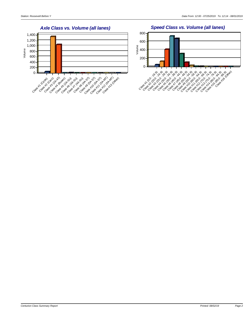

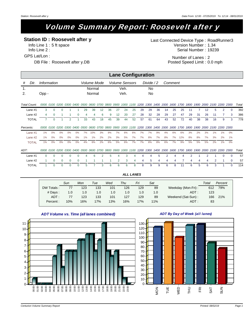# Volume Summary Report: Roosevelt after y

### **Station ID : Roosevelt after y**

Info Line 1 : 5 ft space Info Line 2 : GPS Lat/Lon :

DB File : Roosevelt after y.DB

Serial Number: 19239 Version Number: 1.34 Last Connected Device Type : RoadRunner3

> Number of Lanes : 2 Posted Speed Limit: 0.0 mph

|                      |              |             |          |          |                |          |    |                                                                                                                         |    |    |    |              | <b>Lane Configuration</b> |    |             |    |      |         |           |      |    |    |                                         |          |          |       |
|----------------------|--------------|-------------|----------|----------|----------------|----------|----|-------------------------------------------------------------------------------------------------------------------------|----|----|----|--------------|---------------------------|----|-------------|----|------|---------|-----------|------|----|----|-----------------------------------------|----------|----------|-------|
| #                    | Dir.         | Information |          |          |                |          |    | Volume Mode                                                                                                             |    |    |    |              | <b>Volume Sensors</b>     |    | Divide $/2$ |    |      | Comment |           |      |    |    |                                         |          |          |       |
| $\mathbf{1}$ .<br>2. |              | Opp -       |          |          |                |          |    | Normal<br>Normal                                                                                                        |    |    |    | Veh.<br>Veh. |                           |    | No.<br>No   |    |      |         |           |      |    |    |                                         |          |          |       |
| Total Count:         |              |             |          |          |                |          |    | 0000 0100 0200 0300 0400 0500 0600 0700 0800 0900 1000 1100 1200 1300 1400 1500                                         |    |    |    |              |                           |    |             |    |      |         |           |      |    |    | 1600 1700 1800 1900 2000 2100 2200 2300 |          |          | Total |
|                      | Lane $#1$    | 3           | $\Omega$ |          |                |          | 29 | 39                                                                                                                      | 12 | 36 | 27 | 24           | 25                        | 29 | 29          | 36 | 14   | 25      | 25        | 11   |    | 12 | 5                                       | 2        | $\Omega$ | 392   |
|                      | Lane #2      | 4           | 0        |          |                | 0        | 4  | 4                                                                                                                       | 6  | 9  | 12 | 20           | 27                        | 28 | 32          | 28 | 29   | 27      | 47        | 29   | 31 | 26 | 11                                      |          | 3        | 386   |
|                      | <b>TOTAL</b> | 7           |          |          | $\overline{2}$ |          | 33 | 43                                                                                                                      | 18 | 45 | 39 | 44           | 52                        | 57 | 61          | 64 | 43   | 52      | 72        | 40   | 38 | 38 | 16                                      | 9        | 3        | 778   |
| Percents:            |              |             |          |          |                |          |    | 0000 0100 0200 0300 0400 0500 0600 0700 0800 0900 1000 1100 1200 1300 1400 1500 1600 1700 1800 1900 2000 2100 2200 2300 |    |    |    |              |                           |    |             |    |      |         |           |      |    |    |                                         |          |          |       |
|                      | Lane $#1$    | 1%          | 0%       | 0%       | 0%             | 0%       | 7% | 10%                                                                                                                     | 3% | 9% | 7% | 6%           | 6%                        | 7% | 7%          | 9% | 4%   | 6%      | 6%        | 3%   | 2% | 3% | 1%                                      | 1%       | 0%       |       |
|                      | Lane #2      | 1%          | 0%       | 0%       | 0%             | 0%       | 1% | $1\%$                                                                                                                   | 2% | 2% | 3% | 5%           | 7%                        | 7% | 8%          | 7% | 8%   | 7%      | 12%       | 8%   | 8% | 7% | 3%                                      | 2%       | 1%       |       |
|                      | <b>TOTAL</b> | $1\%$       | 0%       | 0%       | 0%             | 0%       | 4% | 6%                                                                                                                      | 2% | 6% | 5% | 6%           | 7%                        | 7% | 8%          | 8% | 6%   | 7%      | 9%        | 5%   | 5% | 5% | 2%                                      | 1%       | 0%       |       |
| ADT:                 |              |             |          |          |                |          |    | 0000 0100 0200 0300 0400 0500 0600 0700 0800 0900 1000 1100 1200 1300 1400                                              |    |    |    |              |                           |    |             |    | 1500 |         | 1600 1700 | 1800 |    |    | 1900 2000 2100 2200 2300                |          |          | Total |
|                      | Lane #1      | $\Omega$    | U        |          | n              |          |    | 6                                                                                                                       |    | 5  |    | 3            |                           | Δ  |             | 5  | 2    |         |           |      |    |    |                                         | $\Omega$ | ŋ        | 57    |
|                      | Lane #2      |             | 0        | 0        | $\Omega$       | $\Omega$ |    |                                                                                                                         |    |    |    | 3            | 4                         | 4  | 5           | 4  | 4    |         |           |      |    |    | 2                                       |          | $\Omega$ | 57    |
|                      | <b>TOTAL</b> |             | $\Omega$ | $\Omega$ | $\Omega$       | $\Omega$ | 5  | 7                                                                                                                       | 3  | 6  | 6  | 6            | 8                         | 8  | 9           | 9  | 6    | 8       | 11        | 6    | 5  | 6  | 3                                       |          | $\Omega$ | 114   |

|            | Sun | Mon | Tue | Wed | Thu | Fri | Sat |                    | Total | Percent |
|------------|-----|-----|-----|-----|-----|-----|-----|--------------------|-------|---------|
| DW Totals: | 77  | 123 | 133 | 101 | 126 | 129 | 89  | Weekday (Mon-Fri): | 612   | 79%     |
| # Days :   | 1.0 | 1.0 | 1.0 | 1.0 | 1.0 | 1.0 | 1.0 | $ADT$ :            | 123   |         |
| $ADT$ :    | 77  | 123 | 133 | 101 | 127 | 129 | 89  | Weekend (Sat-Sun): | 166   | 21%     |
| Percent:   | 10% | 16% | 17% | 13% | 16% | 17% | 11% | $ADT$ :            | 83    |         |

*ALL LANES*



### *ADT Volume vs. Time (all lanes combined)*

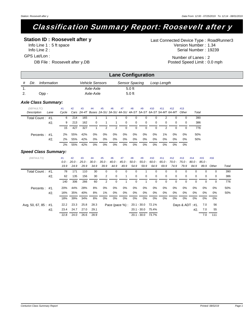# Classification Summary Report: Roosevelt after y

### **Station ID : Roosevelt after y**

Info Line 1 : 5 ft space Info Line 2 : GPS Lat/Lon :

Serial Number: 19239 Version Number: 1.34 Last Connected Device Type : RoadRunner3

DB File : Roosevelt after y.DB

Number of Lanes : 2 Posted Speed Limit: 0.0 mph

|     |      |             |                        | <b>Lane Configuration</b> |             |  |
|-----|------|-------------|------------------------|---------------------------|-------------|--|
| #   | Dir. | Information | <b>Vehicle Sensors</b> | Sensor Spacing            | Loop Length |  |
| . . |      |             | Axle-Axle              | $5.0$ ft                  |             |  |
| 2.  |      | Opp -       | Axle-Axle              | $5.0$ ft                  |             |  |

#### *Axle Class Summary:*

| (DEFAULTC)   |      | #1    | #2  | #3  | #4       | #5    | #6 | #7          | #8             | #9       | #10      | #11      | #12                                                                    | #13      |       |  |
|--------------|------|-------|-----|-----|----------|-------|----|-------------|----------------|----------|----------|----------|------------------------------------------------------------------------|----------|-------|--|
| Description  | Lane | Cvcle |     |     |          |       |    |             |                |          |          |          | Cars 2A-4T Buses 2A-SU 3A-SU 4A-SU 4A-ST 5A-ST 6A-ST 5A-MT 6A-MT Other |          | Total |  |
| Total Count: | #1.  | 6     | 214 | 165 |          |       |    | $\Omega$    | 0              | 0        | $\Omega$ | 2        |                                                                        |          | 390   |  |
|              | #2.  | 9     | 213 | 162 | $\Omega$ |       | 1. | $\mathbf 0$ | $\overline{0}$ | $\Omega$ | $\Omega$ | $\Omega$ | $\Omega$                                                               | $\Omega$ | 386   |  |
|              |      | 15    | 427 | 327 |          | 2     | 2  | $\Omega$    | $\Omega$       | $\Omega$ | $\Omega$ | 2        |                                                                        |          | 776   |  |
| Percents:    | #1.  | 2%    | 55% | 42% | $0\%$    | 0%    | 0% | 0%          | 0%             | 0%       | 0%       | 1%       | $0\%$                                                                  | 0%       | 50%   |  |
|              | #2.  | $2\%$ | 55% | 42% | 0%       | 0%    | 0% | 0%          | 0%             | 0%       | 0%       | 0%       | 0%                                                                     | 0%       | 50%   |  |
|              |      | 2%    | 55% | 42% | 0%       | $0\%$ | 0% | 0%          | 0%             | 0%       | $0\%$    | 0%       | 0%                                                                     | 0%       |       |  |

| (DEFAULTX)            | #1<br>$0.0 -$ | #2   | #3<br>$20.0 - 25.0 - 30.0 -$ | #4   | #5<br>35.0 - 40.0 - 45.0 - | #6       | #7       | #8                               | #9            | #10      | #11<br>$50.0 - 55.0 - 60.0 - 65.0 - 70.0 - 75.0 - 80.0 - 85.0 -$ | #12      | #13                 | #14      | #15      | #16      |       |
|-----------------------|---------------|------|------------------------------|------|----------------------------|----------|----------|----------------------------------|---------------|----------|------------------------------------------------------------------|----------|---------------------|----------|----------|----------|-------|
|                       | 19.9          | 24.9 | 29.9                         | 34.9 | 39.9                       | 44.9     | 49.9     | 54.9                             | 59.9          | 64.9     | 69.9                                                             | 74.9     | 79.9                | 84.9     | 89.9     | Other    | Total |
| Total Count: #1.      | 78            | 171  | 110                          | 30   | $\Omega$                   | $\Omega$ | $\Omega$ | $\Omega$                         |               | $\Omega$ | $\Omega$                                                         | $\Omega$ | $\Omega$            | $\Omega$ | $\Omega$ | $\Omega$ | 390   |
| #2.                   | 62            | 135  | 156                          | 30   | 2                          | 0        |          | $\mathbf 0$                      | 0             | $\Omega$ | $\overline{0}$                                                   | 0        | $\Omega$            | $\Omega$ | 0        | $\Omega$ | 386   |
|                       | 140           | 306  | 266                          | 60   | 2                          | 0        |          | $\Omega$                         |               | 0        | $\Omega$                                                         | $\Omega$ | $\Omega$            | $\Omega$ | $\Omega$ | $\Omega$ | 776   |
| Percents:<br>#1.      | 20%           | 44%  | 28%                          | 8%   | 0%                         | 0%       | 0%       | 0%                               | 0%            | 0%       | 0%                                                               | 0%       | 0%                  | 0%       | 0%       | 0%       | 50%   |
| #2.                   | 16%           | 35%  | 40%                          | 8%   | 1%                         | 0%       | 0%       | 0%                               | 0%            | 0%       | 0%                                                               | 0%       | 0%                  | 0%       | 0%       | 0%       | 50%   |
|                       | 18%           | 39%  | 34%                          | 8%   | 0%                         | 0%       | $0\%$    | 0%                               | 0%            | 0%       | 0%                                                               | 0%       | $0\%$               | 0%       | 0%       | 0%       |       |
| Avg, 50, 67, 85 : #1. | 22.2          | 23.3 | 25.8                         | 28.3 |                            |          |          | Pace (pace %): 20.1 - 30.0 72.1% |               |          |                                                                  |          | Days & $ADT : #1$ . |          | 7.0      | 56       |       |
| #2.                   | 23.4          | 24.7 | 27.0                         | 29.1 |                            |          |          |                                  | $20.1 - 30.0$ | 75.4%    |                                                                  |          |                     | #2.      | 7.0      | 55       |       |
|                       | 22.8          | 24.0 | 26.6                         | 28.9 |                            |          |          |                                  | $20.1 - 30.0$ | 73.7%    |                                                                  |          |                     |          | 7.0      | 111      |       |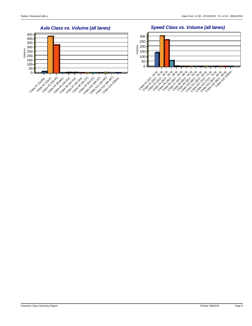*Speed Class vs. Volume (all lanes)*

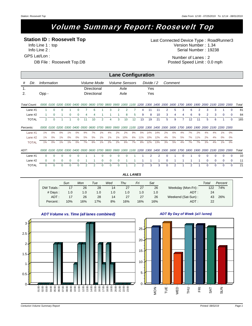# Volume Summary Report: Roosevelt Top

**Station ID : Roosevelt Top**

Info Line 1 : top Info Line 2 : GPS Lat/Lon :

DB File : Roosevelt Top.DB

Serial Number: 19238 Version Number: 1.34 Last Connected Device Type : RoadRunner3

> Number of Lanes : 2 Posted Speed Limit: 0.0 mph

|              |                       |          |              |          |                  |    |                                   |                                                                                                                         |          |       |                | <b>Lane Configuration</b> |     |            |     |                |           |    |    |     |          |          |          |                                         |       |
|--------------|-----------------------|----------|--------------|----------|------------------|----|-----------------------------------|-------------------------------------------------------------------------------------------------------------------------|----------|-------|----------------|---------------------------|-----|------------|-----|----------------|-----------|----|----|-----|----------|----------|----------|-----------------------------------------|-------|
| Dir.<br>#    | Information           |          |              |          |                  |    |                                   | <i><b>Volume Mode</b></i>                                                                                               |          |       |                | <b>Volume Sensors</b>     |     | Divide / 2 |     |                | Comment   |    |    |     |          |          |          |                                         |       |
| 1.<br>2.     | Opp -                 |          |              |          |                  |    | <b>Directional</b><br>Directional |                                                                                                                         |          |       | Axle<br>Axle   |                           |     | Yes<br>Yes |     |                |           |    |    |     |          |          |          |                                         |       |
| Total Count: |                       |          |              |          |                  |    |                                   | 0000 0100 0200 0300 0400 0500 0600 0700 0800 0900 1000 1100 1200 1300 1400 1500                                         |          |       |                |                           |     |            |     |                | 1600 1700 |    |    |     |          |          |          | 1800 1900 2000 2100 2200 2300           | Total |
| Lane #1      |                       | $\Omega$ |              |          |                  |    | 6                                 |                                                                                                                         | 3        | 2     | $\overline{2}$ |                           | 4   | 11         | 11  | $\overline{2}$ | 5         | 3  | 6  | 2   | 3        | 3        |          | $\Omega$                                | 81    |
| Lane #2      |                       | $\Omega$ |              | $\Omega$ | $\Omega$         | 4  | 4                                 |                                                                                                                         |          |       | 8              | 5                         | 9   | 8          | 10  | 3              | 4         | 4  | 6  | 9   | 2        | 3        | $\Omega$ | 0                                       | 84    |
| <b>TOTAL</b> | 2                     |          |              |          | $\Omega$         | 11 | 10                                | 2                                                                                                                       | 4        | 3     | 10             | 12                        | 13  | 19         | 21  | 5              | 9         |    | 12 | 11  | 5        | 6        |          | $\Omega$                                | 165   |
| Percents:    |                       |          |              |          |                  |    |                                   | 0000 0100 0200 0300 0400 0500 0600 0700 0800 0900 1000 1100 1200 1300 1400 1500 1600 1700 1800 1900 2000 2100 2200 2300 |          |       |                |                           |     |            |     |                |           |    |    |     |          |          |          |                                         |       |
| Lane #1      | 1%                    | 0%       | 0%           | 1%       | 0%               | 9% | 7%                                | 1%                                                                                                                      | 4%       | 2%    | 2%             | 9%                        | 5%  | 14%        | 14% | 2%             | 6%        | 4% | 7% | 2%  | 4%       | 4%       | 1%       | 0%                                      |       |
| Lane $#2$    | 1%                    | 0%       | 1%           | 0%       | 0%               | 5% | 5%                                | 1%                                                                                                                      | 1%       | $1\%$ | 10%            | 6%                        | 11% | 10%        | 12% | 4%             | 5%        | 5% | 7% | 11% | 2%       | 4%       | 0%       | 0%                                      |       |
| <b>TOTAL</b> | 1%                    | 0%       | 1%           | 1%       | 0%               | 7% | 6%                                | 1%                                                                                                                      | 2%       | 2%    | 6%             | 7%                        | 8%  | 12%        | 13% | 3%             | 5%        | 4% | 7% | 7%  | 3%       | 4%       | $1\%$    | 0%                                      |       |
| ADT:         | <i>0000 0100 0200</i> |          |              |          | <i>0300 0400</i> |    |                                   | 0500 0600 0700 0800 0900 1000 1100 1200 1300 1400                                                                       |          |       |                |                           |     |            |     | 1500           |           |    |    |     |          |          |          | 1600 1700 1800 1900 2000 2100 2200 2300 | Total |
| Lane #1      | $\Omega$              | ∩        |              | ∩        |                  |    |                                   |                                                                                                                         |          |       |                |                           |     |            | 2   | n              |           |    |    |     |          | 0        | $\Omega$ | n                                       | 10    |
| Lane #2      | $\Omega$              | 0        |              | $\Omega$ | 0                |    |                                   | 0                                                                                                                       | $\Omega$ |       |                |                           |     |            |     | O              |           |    |    |     |          | 0        | $\Omega$ | 0                                       | 11    |
| <b>TOTAL</b> | $\Omega$              | $\Omega$ | <sup>n</sup> | $\Omega$ | $\Omega$         | 2  | 2                                 | 0                                                                                                                       | $\Omega$ |       |                | 2                         | 2   | 3          | 3   | $\Omega$       | 2         |    |    |     | $\Omega$ | $\Omega$ | $\Omega$ | $\Omega$                                | 21    |

|            | Sun | Mon | Tue | Wed | Thu | Fri | Sat |                    | Total | Percent |
|------------|-----|-----|-----|-----|-----|-----|-----|--------------------|-------|---------|
| DW Totals: |     | 26  | 28  | 14  | 27  | 27  | 26  | Weekday (Mon-Fri): | 122   | 74%     |
| # Days:    | 1.0 | 1.0 | 1.0 | 1.0 | 1.0 | 1.0 | 1.0 | $ADT$ :            | 24    |         |
| $ADT$ :    | 17  | 26  | 28  | 14  | 27  | 27  | 26  | Weekend (Sat-Sun): | 43    | 26%     |
| Percent:   | 10% | 16% | 17% | 8%  | 16% | 16% | 16% | $ADT$ :            | 22    |         |

*ALL LANES*



*ADT Volume vs. Time (all lanes combined)*

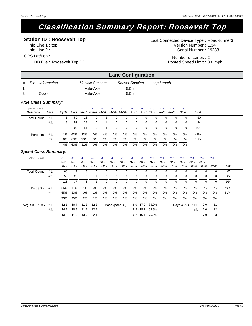# Classification Summary Report: Roosevelt Top

### **Station ID : Roosevelt Top**

Info Line 1 : top Info Line 2 : GPS Lat/Lon :

DB File : Roosevelt Top.DB

Serial Number: 19238 Version Number: 1.34 Last Connected Device Type : RoadRunner3

> Number of Lanes : 2 Posted Speed Limit: 0.0 mph

|     |       |             |                        | <b>Lane Configuration</b> |             |
|-----|-------|-------------|------------------------|---------------------------|-------------|
|     | Dir.  | Information | <b>Vehicle Sensors</b> | <b>Sensor Spacing</b>     | Loop Length |
| . . |       |             | Axle-Axle              | $5.0$ ft                  |             |
| 2.  | Opp - |             | Axle-Axle              | $5.0$ ft                  |             |

#### *Axle Class Summary:*

| (DEFAULTC)<br>Description | Lane | #1<br>Cvcle | #2  | #3  | #4             | #5 | #6             | #7          | #8       | #9       | #10      | #11      | #12<br>Cars 2A-4T Buses 2A-SU 3A-SU 4A-SU 4A-ST 5A-ST 6A-ST 5A-MT 6A-MT Other | #13      | Total |
|---------------------------|------|-------------|-----|-----|----------------|----|----------------|-------------|----------|----------|----------|----------|-------------------------------------------------------------------------------|----------|-------|
| Total Count: #1.          |      |             | 50  | 26  | $\overline{0}$ | 3  | 0              | 0           | $\Omega$ |          | $\Omega$ | 0        | 0                                                                             |          | 80    |
|                           | #2.  | 5.          | 53  | 25  | $\Omega$       |    | $\overline{0}$ | $\mathbf 0$ | $\Omega$ | $\Omega$ | $\Omega$ | $\Omega$ | $\Omega$                                                                      | $\Omega$ | 84    |
|                           |      | 6           | 103 | 51  | $\Omega$       | 4  | $\Omega$       | $\Omega$    | $\Omega$ | 0        | 0        | 0        |                                                                               |          | 164   |
| Percents: #1.             |      | 1%          | 63% | 33% | 0%             | 4% | 0%             | 0%          | 0%       | 0%       | 0%       | 0%       | 0%                                                                            | 0%       | 49%   |
|                           | #2.  | 6%          | 63% | 30% | 0%             | 1% | 0%             | 0%          | 0%       | 0%       | 0%       | 0%       | 0%                                                                            | 0%       | 51%   |
|                           |      | 4%          | 63% | 31% | 0%             | 2% | $0\%$          | 0%          | 0%       | 0%       | $0\%$    | $0\%$    | 0%                                                                            | 0%       |       |

| (DEFAULTX)            |     | #1<br>$0.0 -$ | #2<br>$20.0 -$ | #3<br>25.0 - | #4<br>30.0 - | #5          | #6<br>$35.0 - 40.0 -$ | #7             | #8<br>45.0 - 50.0 - | #9                 | #10         | #11<br>$55.0 - 60.0 - 65.0 - 70.0 -$ | #12  | #13<br>75.0 -       | #14<br>$80.0 - 85.0 -$ | #15         | #16      |       |
|-----------------------|-----|---------------|----------------|--------------|--------------|-------------|-----------------------|----------------|---------------------|--------------------|-------------|--------------------------------------|------|---------------------|------------------------|-------------|----------|-------|
|                       |     | 19.9          | 24.9           | 29.9         | 34.9         | 39.9        | 44.9                  | 49.9           | 54.9                | 59.9               | 64.9        | 69.9                                 | 74.9 | 79.9                | 84.9                   | 89.9        | Other    | Total |
| Total Count: #1.      |     | 68            | 9              | 3            | $\Omega$     | 0           | 0                     | $\Omega$       | $\Omega$            | 0                  | $\Omega$    | $\Omega$                             | 0    | $\Omega$            | $\Omega$               | $\Omega$    | $\Omega$ | 80    |
|                       | #2. | 55            | 28             | $\Omega$     |              | $\mathbf 0$ | 0                     | $\mathbf 0$    | $\mathbf{0}$        | 0                  | $\mathbf 0$ | $\mathbf 0$                          | 0    | 0                   | $\Omega$               | $\mathbf 0$ | 0        | 84    |
|                       |     | 123           | 37             | 3            |              | $\Omega$    | 0                     | 0              | 0                   | 0                  | 0           | $\Omega$                             | 0    | $\Omega$            |                        | $\Omega$    | 0        | 164   |
| Percents:             | #1. | 85%           | 11%            | 4%           | 0%           | 0%          | 0%                    | 0%             | 0%                  | 0%                 | 0%          | 0%                                   | 0%   | 0%                  | 0%                     | 0%          | 0%       | 49%   |
|                       | #2. | 65%           | 33%            | $0\%$        | $1\%$        | 0%          | 0%                    | 0%             | 0%                  | 0%                 | 0%          | 0%                                   | 0%   | 0%                  | 0%                     | 0%          | 0%       | 51%   |
|                       |     | 75%           | 23%            | 2%           | $1\%$        | 0%          | 0%                    | 0%             | 0%                  | 0%                 | 0%          | 0%                                   | 0%   | 0%                  | 0%                     | 0%          | 0%       |       |
| Avg, 50, 67, 85 : #1. |     | 12.1          | 10.4           |              | 11.2 12.2    |             |                       | Pace (pace %): |                     | 8.0 - 17.9         | 85.0%       |                                      |      | Days & $ADT : #1$ . |                        | 7.0         | 11       |       |
|                       | #2. | 14.4          | 10.9           | 21.7         | 22.7         |             |                       |                |                     | $8.3 - 18.2$ 65.5% |             |                                      |      |                     | #2.                    | 7.0         | 12       |       |
|                       |     | 13.2          | 11.3           | 13.0         | 22.4         |             |                       |                |                     | $6.2 - 16.1$       | 75.0%       |                                      |      |                     |                        | 7.0         | 23       |       |